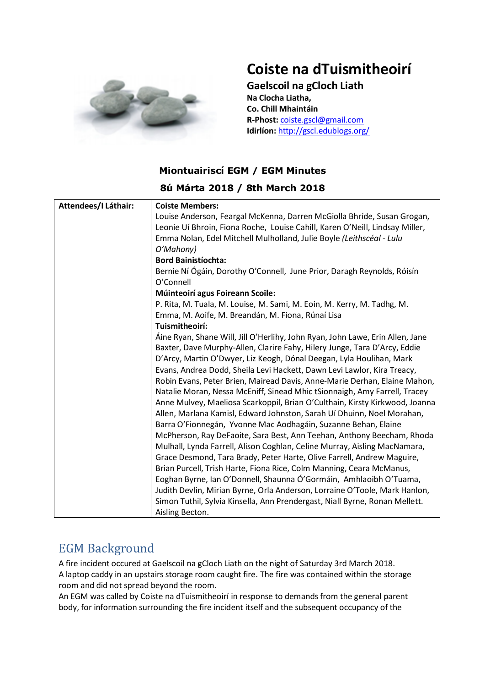

# **Coiste na dTuismitheoirí**

**Gaelscoil na gCloch Liath Na Clocha Liatha, Co. Chill Mhaintáin R-Phost:** [coiste.gscl@gmail.com](mailto:coiste.gscl@gmail.com) **Idirlíon:** <http://gscl.edublogs.org/>

## **Miontuairiscí EGM / EGM Minutes**

## **8ú Márta 2018 / 8th March 2018**

| Attendees/I Láthair: | <b>Coiste Members:</b>                                                        |
|----------------------|-------------------------------------------------------------------------------|
|                      | Louise Anderson, Feargal McKenna, Darren McGiolla Bhríde, Susan Grogan,       |
|                      | Leonie Uí Bhroin, Fiona Roche, Louise Cahill, Karen O'Neill, Lindsay Miller,  |
|                      | Emma Nolan, Edel Mitchell Mulholland, Julie Boyle (Leithscéal - Lulu          |
|                      | O'Mahony)                                                                     |
|                      | <b>Bord Bainistíochta:</b>                                                    |
|                      | Bernie Ní Ógáin, Dorothy O'Connell, June Prior, Daragh Reynolds, Róisín       |
|                      | O'Connell                                                                     |
|                      | <b>Múinteoirí agus Foireann Scoile:</b>                                       |
|                      | P. Rita, M. Tuala, M. Louise, M. Sami, M. Eoin, M. Kerry, M. Tadhg, M.        |
|                      | Emma, M. Aoife, M. Breandán, M. Fiona, Rúnaí Lisa                             |
|                      | Tuismitheoirí:                                                                |
|                      | Áine Ryan, Shane Will, Jill O'Herlihy, John Ryan, John Lawe, Erin Allen, Jane |
|                      | Baxter, Dave Murphy-Allen, Clarire Fahy, Hilery Junge, Tara D'Arcy, Eddie     |
|                      | D'Arcy, Martin O'Dwyer, Liz Keogh, Dónal Deegan, Lyla Houlihan, Mark          |
|                      | Evans, Andrea Dodd, Sheila Levi Hackett, Dawn Levi Lawlor, Kira Treacy,       |
|                      | Robin Evans, Peter Brien, Mairead Davis, Anne-Marie Derhan, Elaine Mahon,     |
|                      | Natalie Moran, Nessa McEniff, Sinead Mhic tSionnaigh, Amy Farrell, Tracey     |
|                      | Anne Mulvey, Maeliosa Scarkoppil, Brian O'Culthain, Kirsty Kirkwood, Joanna   |
|                      | Allen, Marlana Kamisl, Edward Johnston, Sarah Uí Dhuinn, Noel Morahan,        |
|                      | Barra O'Fionnegán, Yvonne Mac Aodhagáin, Suzanne Behan, Elaine                |
|                      | McPherson, Ray DeFaoite, Sara Best, Ann Teehan, Anthony Beecham, Rhoda        |
|                      | Mulhall, Lynda Farrell, Alison Coghlan, Celine Murray, Aisling MacNamara,     |
|                      | Grace Desmond, Tara Brady, Peter Harte, Olive Farrell, Andrew Maguire,        |
|                      | Brian Purcell, Trish Harte, Fiona Rice, Colm Manning, Ceara McManus,          |
|                      | Eoghan Byrne, Ian O'Donnell, Shaunna Ó'Gormáin, Amhlaoibh O'Tuama,            |
|                      | Judith Devlin, Mirian Byrne, Orla Anderson, Lorraine O'Toole, Mark Hanlon,    |
|                      | Simon Tuthil, Sylvia Kinsella, Ann Prendergast, Niall Byrne, Ronan Mellett.   |
|                      | Aisling Becton.                                                               |

## EGM Background

A fire incident occured at Gaelscoil na gCloch Liath on the night of Saturday 3rd March 2018. A laptop caddy in an upstairs storage room caught fire. The fire was contained within the storage room and did not spread beyond the room.

An EGM was called by Coiste na dTuismitheoirí in response to demands from the general parent body, for information surrounding the fire incident itself and the subsequent occupancy of the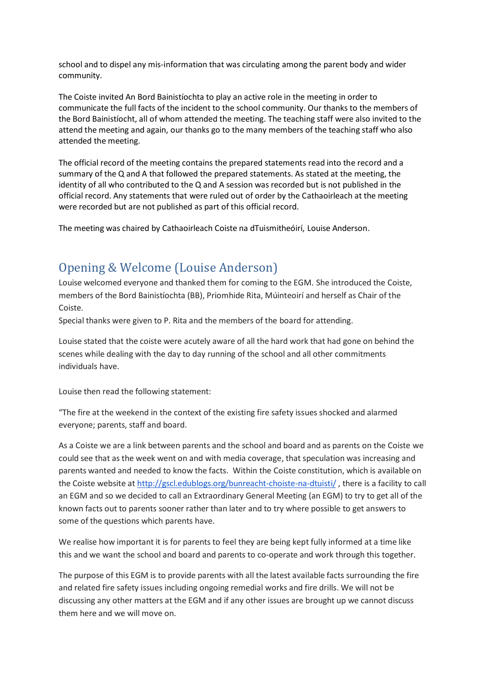school and to dispel any mis-information that was circulating among the parent body and wider community.

The Coiste invited An Bord Bainistíochta to play an active role in the meeting in order to communicate the full facts of the incident to the school community. Our thanks to the members of the Bord Bainistíocht, all of whom attended the meeting. The teaching staff were also invited to the attend the meeting and again, our thanks go to the many members of the teaching staff who also attended the meeting.

The official record of the meeting contains the prepared statements read into the record and a summary of the Q and A that followed the prepared statements. As stated at the meeting, the identity of all who contributed to the Q and A session was recorded but is not published in the official record. Any statements that were ruled out of order by the Cathaoirleach at the meeting were recorded but are not published as part of this official record.

The meeting was chaired by Cathaoirleach Coiste na dTuismitheóirí, Louise Anderson.

## Opening & Welcome (Louise Anderson)

Louise welcomed everyone and thanked them for coming to the EGM. She introduced the Coiste, members of the Bord Bainistíochta (BB), Priomhide Rita, Múinteoirí and herself as Chair of the Coiste.

Special thanks were given to P. Rita and the members of the board for attending.

Louise stated that the coiste were acutely aware of all the hard work that had gone on behind the scenes while dealing with the day to day running of the school and all other commitments individuals have.

Louise then read the following statement:

"The fire at the weekend in the context of the existing fire safety issues shocked and alarmed everyone; parents, staff and board.

As a Coiste we are a link between parents and the school and board and as parents on the Coiste we could see that as the week went on and with media coverage, that speculation was increasing and parents wanted and needed to know the facts. Within the Coiste constitution, which is available on the Coiste website at <http://gscl.edublogs.org/bunreacht-choiste-na-dtuisti/> , there is a facility to call an EGM and so we decided to call an Extraordinary General Meeting (an EGM) to try to get all of the known facts out to parents sooner rather than later and to try where possible to get answers to some of the questions which parents have.

We realise how important it is for parents to feel they are being kept fully informed at a time like this and we want the school and board and parents to co-operate and work through this together.

The purpose of this EGM is to provide parents with all the latest available facts surrounding the fire and related fire safety issues including ongoing remedial works and fire drills. We will not be discussing any other matters at the EGM and if any other issues are brought up we cannot discuss them here and we will move on.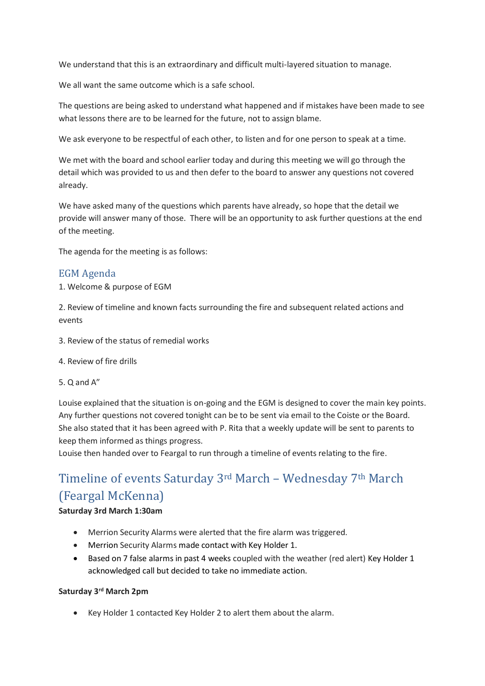We understand that this is an extraordinary and difficult multi-layered situation to manage.

We all want the same outcome which is a safe school.

The questions are being asked to understand what happened and if mistakes have been made to see what lessons there are to be learned for the future, not to assign blame.

We ask everyone to be respectful of each other, to listen and for one person to speak at a time.

We met with the board and school earlier today and during this meeting we will go through the detail which was provided to us and then defer to the board to answer any questions not covered already.

We have asked many of the questions which parents have already, so hope that the detail we provide will answer many of those. There will be an opportunity to ask further questions at the end of the meeting.

The agenda for the meeting is as follows:

### EGM Agenda

1. Welcome & purpose of EGM

2. Review of timeline and known facts surrounding the fire and subsequent related actions and events

- 3. Review of the status of remedial works
- 4. Review of fire drills
- 5. Q and A"

Louise explained that the situation is on-going and the EGM is designed to cover the main key points. Any further questions not covered tonight can be to be sent via email to the Coiste or the Board. She also stated that it has been agreed with P. Rita that a weekly update will be sent to parents to keep them informed as things progress.

Louise then handed over to Feargal to run through a timeline of events relating to the fire.

## Timeline of events Saturday 3rd March – Wednesday 7th March (Feargal McKenna)

#### **Saturday 3rd March 1:30am**

- Merrion Security Alarms were alerted that the fire alarm was triggered.
- Merrion Security Alarms made contact with Key Holder 1.
- Based on 7 false alarms in past 4 weeks coupled with the weather (red alert) Key Holder 1 acknowledged call but decided to take no immediate action.

#### **Saturday 3rd March 2pm**

• Key Holder 1 contacted Key Holder 2 to alert them about the alarm.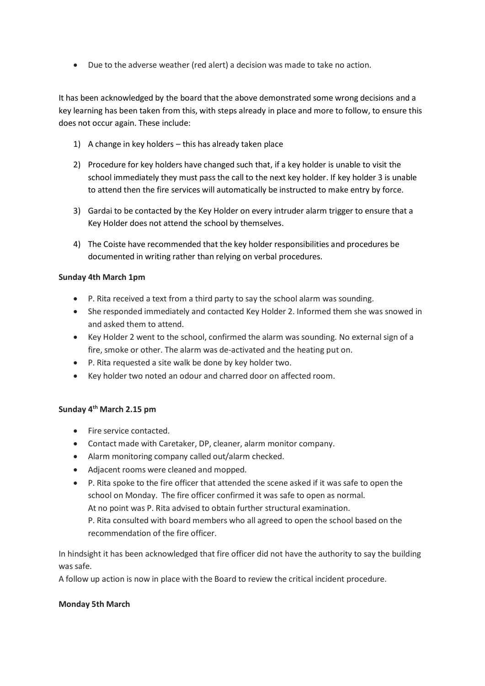• Due to the adverse weather (red alert) a decision was made to take no action.

It has been acknowledged by the board that the above demonstrated some wrong decisions and a key learning has been taken from this, with steps already in place and more to follow, to ensure this does not occur again. These include:

- 1) A change in key holders this has already taken place
- 2) Procedure for key holders have changed such that, if a key holder is unable to visit the school immediately they must pass the call to the next key holder. If key holder 3 is unable to attend then the fire services will automatically be instructed to make entry by force.
- 3) Gardai to be contacted by the Key Holder on every intruder alarm trigger to ensure that a Key Holder does not attend the school by themselves.
- 4) The Coiste have recommended that the key holder responsibilities and procedures be documented in writing rather than relying on verbal procedures.

#### **Sunday 4th March 1pm**

- P. Rita received a text from a third party to say the school alarm was sounding.
- She responded immediately and contacted Key Holder 2. Informed them she was snowed in and asked them to attend.
- Key Holder 2 went to the school, confirmed the alarm was sounding. No external sign of a fire, smoke or other. The alarm was de-activated and the heating put on.
- P. Rita requested a site walk be done by key holder two.
- Key holder two noted an odour and charred door on affected room.

#### **Sunday 4th March 2.15 pm**

- Fire service contacted.
- Contact made with Caretaker, DP, cleaner, alarm monitor company.
- Alarm monitoring company called out/alarm checked.
- Adjacent rooms were cleaned and mopped.
- P. Rita spoke to the fire officer that attended the scene asked if it was safe to open the school on Monday. The fire officer confirmed it was safe to open as normal.

At no point was P. Rita advised to obtain further structural examination.

P. Rita consulted with board members who all agreed to open the school based on the recommendation of the fire officer.

In hindsight it has been acknowledged that fire officer did not have the authority to say the building was safe.

A follow up action is now in place with the Board to review the critical incident procedure.

#### **Monday 5th March**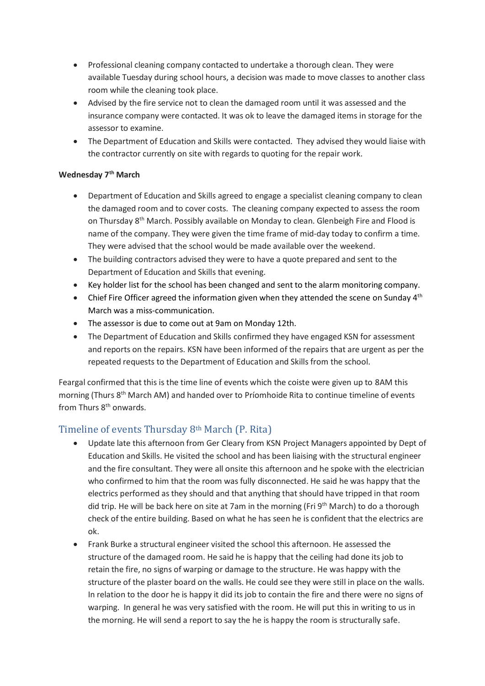- Professional cleaning company contacted to undertake a thorough clean. They were available Tuesday during school hours, a decision was made to move classes to another class room while the cleaning took place.
- Advised by the fire service not to clean the damaged room until it was assessed and the insurance company were contacted. It was ok to leave the damaged items in storage for the assessor to examine.
- The Department of Education and Skills were contacted. They advised they would liaise with the contractor currently on site with regards to quoting for the repair work.

### **Wednesday 7th March**

- Department of Education and Skills agreed to engage a specialist cleaning company to clean the damaged room and to cover costs. The cleaning company expected to assess the room on Thursday 8<sup>th</sup> March. Possibly available on Monday to clean. Glenbeigh Fire and Flood is name of the company. They were given the time frame of mid-day today to confirm a time. They were advised that the school would be made available over the weekend.
- The building contractors advised they were to have a quote prepared and sent to the Department of Education and Skills that evening.
- Key holder list for the school has been changed and sent to the alarm monitoring company.
- Chief Fire Officer agreed the information given when they attended the scene on Sunday  $4<sup>th</sup>$ March was a miss-communication.
- The assessor is due to come out at 9am on Monday 12th.
- The Department of Education and Skills confirmed they have engaged KSN for assessment and reports on the repairs. KSN have been informed of the repairs that are urgent as per the repeated requests to the Department of Education and Skills from the school.

Feargal confirmed that this is the time line of events which the coiste were given up to 8AM this morning (Thurs 8<sup>th</sup> March AM) and handed over to Príomhoide Rita to continue timeline of events from Thurs 8th onwards.

## Timeline of events Thursday 8<sup>th</sup> March (P. Rita)

- Update late this afternoon from Ger Cleary from KSN Project Managers appointed by Dept of Education and Skills. He visited the school and has been liaising with the structural engineer and the fire consultant. They were all onsite this afternoon and he spoke with the electrician who confirmed to him that the room was fully disconnected. He said he was happy that the electrics performed as they should and that anything that should have tripped in that room did trip. He will be back here on site at 7am in the morning (Fri 9<sup>th</sup> March) to do a thorough check of the entire building. Based on what he has seen he is confident that the electrics are ok.
- Frank Burke a structural engineer visited the school this afternoon. He assessed the structure of the damaged room. He said he is happy that the ceiling had done its job to retain the fire, no signs of warping or damage to the structure. He was happy with the structure of the plaster board on the walls. He could see they were still in place on the walls. In relation to the door he is happy it did its job to contain the fire and there were no signs of warping. In general he was very satisfied with the room. He will put this in writing to us in the morning. He will send a report to say the he is happy the room is structurally safe.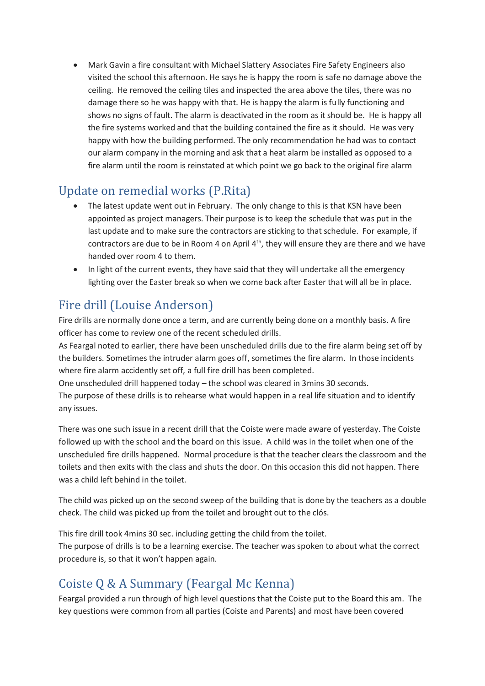• Mark Gavin a fire consultant with Michael Slattery Associates Fire Safety Engineers also visited the school this afternoon. He says he is happy the room is safe no damage above the ceiling. He removed the ceiling tiles and inspected the area above the tiles, there was no damage there so he was happy with that. He is happy the alarm is fully functioning and shows no signs of fault. The alarm is deactivated in the room as it should be. He is happy all the fire systems worked and that the building contained the fire as it should. He was very happy with how the building performed. The only recommendation he had was to contact our alarm company in the morning and ask that a heat alarm be installed as opposed to a fire alarm until the room is reinstated at which point we go back to the original fire alarm

## Update on remedial works (P.Rita)

- The latest update went out in February. The only change to this is that KSN have been appointed as project managers. Their purpose is to keep the schedule that was put in the last update and to make sure the contractors are sticking to that schedule. For example, if contractors are due to be in Room 4 on April  $4<sup>th</sup>$ , they will ensure they are there and we have handed over room 4 to them.
- In light of the current events, they have said that they will undertake all the emergency lighting over the Easter break so when we come back after Easter that will all be in place.

# Fire drill (Louise Anderson)

Fire drills are normally done once a term, and are currently being done on a monthly basis. A fire officer has come to review one of the recent scheduled drills.

As Feargal noted to earlier, there have been unscheduled drills due to the fire alarm being set off by the builders. Sometimes the intruder alarm goes off, sometimes the fire alarm. In those incidents where fire alarm accidently set off, a full fire drill has been completed.

One unscheduled drill happened today – the school was cleared in 3mins 30 seconds.

The purpose of these drills is to rehearse what would happen in a real life situation and to identify any issues.

There was one such issue in a recent drill that the Coiste were made aware of yesterday. The Coiste followed up with the school and the board on this issue. A child was in the toilet when one of the unscheduled fire drills happened. Normal procedure is that the teacher clears the classroom and the toilets and then exits with the class and shuts the door. On this occasion this did not happen. There was a child left behind in the toilet.

The child was picked up on the second sweep of the building that is done by the teachers as a double check. The child was picked up from the toilet and brought out to the clós.

This fire drill took 4mins 30 sec. including getting the child from the toilet. The purpose of drills is to be a learning exercise. The teacher was spoken to about what the correct

# Coiste Q & A Summary (Feargal Mc Kenna)

procedure is, so that it won't happen again.

Feargal provided a run through of high level questions that the Coiste put to the Board this am. The key questions were common from all parties (Coiste and Parents) and most have been covered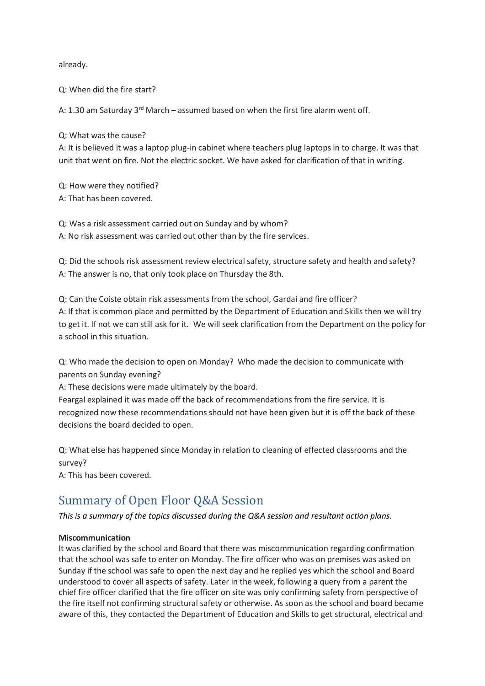already.

Q: When did the fire start?

A: 1.30 am Saturday  $3^{\text{rd}}$  March – assumed based on when the first fire alarm went off.

Q: What was the cause?

A: It is believed it was a laptop plug-in cabinet where teachers plug laptops in to charge. It was that unit that went on fire. Not the electric socket. We have asked for clarification of that in writing.

Q: How were they notified? A: That has been covered.

Q: Was a risk assessment carried out on Sunday and by whom? A: No risk assessment was carried out other than by the fire services.

Q: Did the schools risk assessment review electrical safety, structure safety and health and safety? A: The answer is no, that only took place on Thursday the 8th.

Q: Can the Coiste obtain risk assessments from the school, Gardaí and fire officer? A: If that is common place and permitted by the Department of Education and Skills then we will try to get it. If not we can still ask for it. We will seek clarification from the Department on the policy for a school in this situation.

Q: Who made the decision to open on Monday? Who made the decision to communicate with parents on Sunday evening?

A: These decisions were made ultimately by the board.

Feargal explained it was made off the back of recommendations from the fire service. It is recognized now these recommendations should not have been given but it is off the back of these decisions the board decided to open.

Q: What else has happened since Monday in relation to cleaning of effected classrooms and the survey?

A: This has been covered.

## Summary of Open Floor Q&A Session

*This is a summary of the topics discussed during the Q&A session and resultant action plans.*

#### **Miscommunication**

It was clarified by the school and Board that there was miscommunication regarding confirmation that the school was safe to enter on Monday. The fire officer who was on premises was asked on Sunday if the school was safe to open the next day and he replied yes which the school and Board understood to cover all aspects of safety. Later in the week, following a query from a parent the chief fire officer clarified that the fire officer on site was only confirming safety from perspective of the fire itself not confirming structural safety or otherwise. As soon as the school and board became aware of this, they contacted the Department of Education and Skills to get structural, electrical and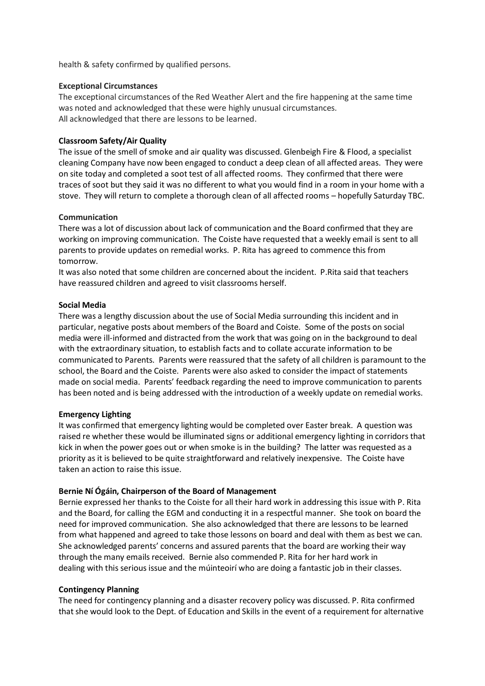health & safety confirmed by qualified persons.

#### **Exceptional Circumstances**

The exceptional circumstances of the Red Weather Alert and the fire happening at the same time was noted and acknowledged that these were highly unusual circumstances. All acknowledged that there are lessons to be learned.

#### **Classroom Safety/Air Quality**

The issue of the smell of smoke and air quality was discussed. Glenbeigh Fire & Flood, a specialist cleaning Company have now been engaged to conduct a deep clean of all affected areas. They were on site today and completed a soot test of all affected rooms. They confirmed that there were traces of soot but they said it was no different to what you would find in a room in your home with a stove. They will return to complete a thorough clean of all affected rooms – hopefully Saturday TBC.

#### **Communication**

There was a lot of discussion about lack of communication and the Board confirmed that they are working on improving communication. The Coiste have requested that a weekly email is sent to all parents to provide updates on remedial works. P. Rita has agreed to commence this from tomorrow.

It was also noted that some children are concerned about the incident. P.Rita said that teachers have reassured children and agreed to visit classrooms herself.

#### **Social Media**

There was a lengthy discussion about the use of Social Media surrounding this incident and in particular, negative posts about members of the Board and Coiste. Some of the posts on social media were ill-informed and distracted from the work that was going on in the background to deal with the extraordinary situation, to establish facts and to collate accurate information to be communicated to Parents. Parents were reassured that the safety of all children is paramount to the school, the Board and the Coiste. Parents were also asked to consider the impact of statements made on social media. Parents' feedback regarding the need to improve communication to parents has been noted and is being addressed with the introduction of a weekly update on remedial works.

#### **Emergency Lighting**

It was confirmed that emergency lighting would be completed over Easter break. A question was raised re whether these would be illuminated signs or additional emergency lighting in corridors that kick in when the power goes out or when smoke is in the building? The latter was requested as a priority as it is believed to be quite straightforward and relatively inexpensive. The Coiste have taken an action to raise this issue.

#### **Bernie Ní Ógáin, Chairperson of the Board of Management**

Bernie expressed her thanks to the Coiste for all their hard work in addressing this issue with P. Rita and the Board, for calling the EGM and conducting it in a respectful manner. She took on board the need for improved communication. She also acknowledged that there are lessons to be learned from what happened and agreed to take those lessons on board and deal with them as best we can. She acknowledged parents' concerns and assured parents that the board are working their way through the many emails received. Bernie also commended P. Rita for her hard work in dealing with this serious issue and the múinteoirí who are doing a fantastic job in their classes.

#### **Contingency Planning**

The need for contingency planning and a disaster recovery policy was discussed. P. Rita confirmed that she would look to the Dept. of Education and Skills in the event of a requirement for alternative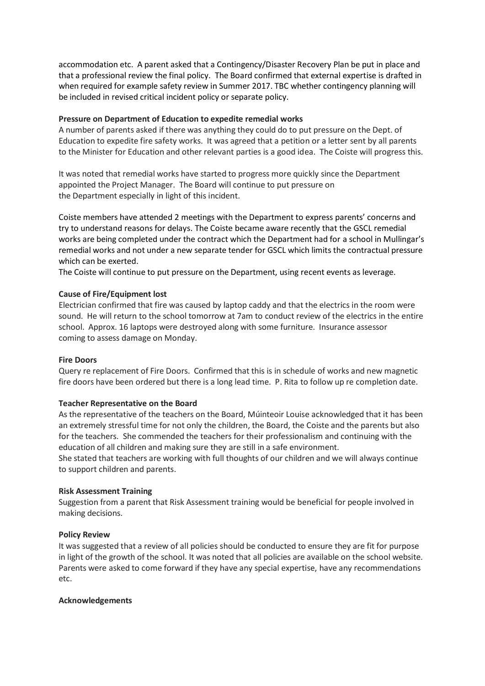accommodation etc. A parent asked that a Contingency/Disaster Recovery Plan be put in place and that a professional review the final policy. The Board confirmed that external expertise is drafted in when required for example safety review in Summer 2017. TBC whether contingency planning will be included in revised critical incident policy or separate policy.

#### **Pressure on Department of Education to expedite remedial works**

A number of parents asked if there was anything they could do to put pressure on the Dept. of Education to expedite fire safety works. It was agreed that a petition or a letter sent by all parents to the Minister for Education and other relevant parties is a good idea. The Coiste will progress this.

It was noted that remedial works have started to progress more quickly since the Department appointed the Project Manager. The Board will continue to put pressure on the Department especially in light of this incident.

Coiste members have attended 2 meetings with the Department to express parents' concerns and try to understand reasons for delays. The Coiste became aware recently that the GSCL remedial works are being completed under the contract which the Department had for a school in Mullingar's remedial works and not under a new separate tender for GSCL which limits the contractual pressure which can be exerted.

The Coiste will continue to put pressure on the Department, using recent events as leverage.

#### **Cause of Fire/Equipment lost**

Electrician confirmed that fire was caused by laptop caddy and that the electrics in the room were sound. He will return to the school tomorrow at 7am to conduct review of the electrics in the entire school. Approx. 16 laptops were destroyed along with some furniture. Insurance assessor coming to assess damage on Monday.

#### **Fire Doors**

Query re replacement of Fire Doors. Confirmed that this is in schedule of works and new magnetic fire doors have been ordered but there is a long lead time. P. Rita to follow up re completion date.

#### **Teacher Representative on the Board**

As the representative of the teachers on the Board, Múinteoir Louise acknowledged that it has been an extremely stressful time for not only the children, the Board, the Coiste and the parents but also for the teachers. She commended the teachers for their professionalism and continuing with the education of all children and making sure they are still in a safe environment.

She stated that teachers are working with full thoughts of our children and we will always continue to support children and parents.

#### **Risk Assessment Training**

Suggestion from a parent that Risk Assessment training would be beneficial for people involved in making decisions.

#### **Policy Review**

It was suggested that a review of all policies should be conducted to ensure they are fit for purpose in light of the growth of the school. It was noted that all policies are available on the school website. Parents were asked to come forward if they have any special expertise, have any recommendations etc.

#### **Acknowledgements**